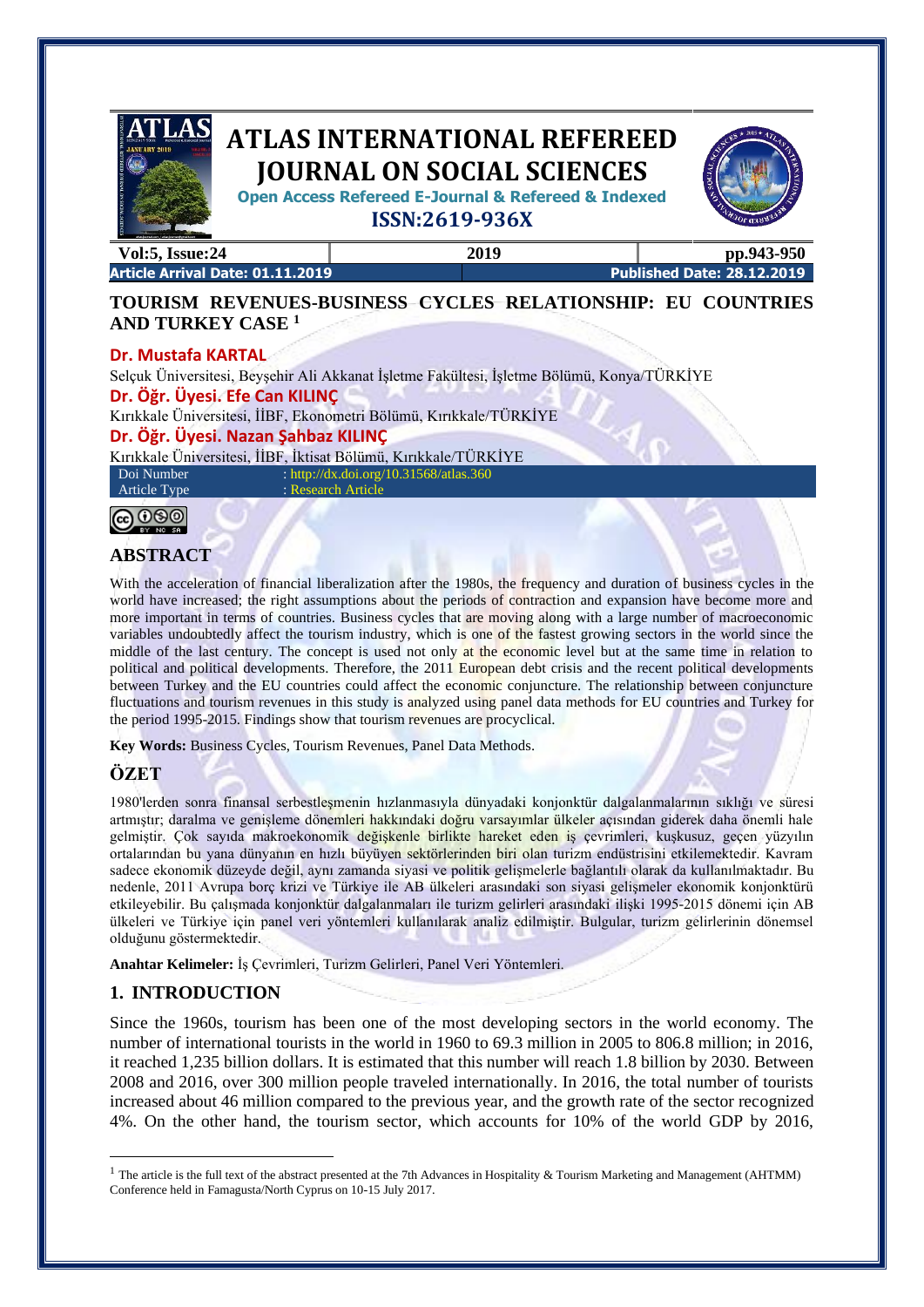

**Open Access Refereed E-Journal & Refereed & Indexed**



**ISSN:2619-936X**

**Vol:5, Issue:24 2019 pp.943-950**

**Article Arrival Date: 01.11.2019 Published Date: 28.12.2019**

# **TOURISM REVENUES-BUSINESS CYCLES RELATIONSHIP: EU COUNTRIES AND TURKEY CASE <sup>1</sup>**

## **Dr. Mustafa KARTAL**

Selçuk Üniversitesi, Beyşehir Ali Akkanat İşletme Fakültesi, İşletme Bölümü, Konya/TÜRKİYE **Dr. Öğr. Üyesi. Efe Can KILINÇ**  Kırıkkale Üniversitesi, İİBF, Ekonometri Bölümü, Kırıkkale/TÜRKİYE **Dr. Öğr. Üyesi. Nazan Şahbaz KILINÇ**  Kırıkkale Üniversitesi, İİBF, İktisat Bölümü, Kırıkkale/TÜRKİYE Doi Number : http://dx.doi.org/10.31568/atlas.360

Article Type : Research Article

**@** 000 **BY NO. SO** 

# **ABSTRACT**

With the acceleration of financial liberalization after the 1980s, the frequency and duration of business cycles in the world have increased; the right assumptions about the periods of contraction and expansion have become more and more important in terms of countries. Business cycles that are moving along with a large number of macroeconomic variables undoubtedly affect the tourism industry, which is one of the fastest growing sectors in the world since the middle of the last century. The concept is used not only at the economic level but at the same time in relation to political and political developments. Therefore, the 2011 European debt crisis and the recent political developments between Turkey and the EU countries could affect the economic conjuncture. The relationship between conjuncture fluctuations and tourism revenues in this study is analyzed using panel data methods for EU countries and Turkey for the period 1995-2015. Findings show that tourism revenues are procyclical.

**Key Words:** Business Cycles, Tourism Revenues, Panel Data Methods.

# **ÖZET**

1980'lerden sonra finansal serbestleşmenin hızlanmasıyla dünyadaki konjonktür dalgalanmalarının sıklığı ve süresi artmıştır; daralma ve genişleme dönemleri hakkındaki doğru varsayımlar ülkeler açısından giderek daha önemli hale gelmiştir. Çok sayıda makroekonomik değişkenle birlikte hareket eden iş çevrimleri, kuşkusuz, geçen yüzyılın ortalarından bu yana dünyanın en hızlı büyüyen sektörlerinden biri olan turizm endüstrisini etkilemektedir. Kavram sadece ekonomik düzeyde değil, aynı zamanda siyasi ve politik gelişmelerle bağlantılı olarak da kullanılmaktadır. Bu nedenle, 2011 Avrupa borç krizi ve Türkiye ile AB ülkeleri arasındaki son siyasi gelişmeler ekonomik konjonktürü etkileyebilir. Bu çalışmada konjonktür dalgalanmaları ile turizm gelirleri arasındaki ilişki 1995-2015 dönemi için AB ülkeleri ve Türkiye için panel veri yöntemleri kullanılarak analiz edilmiştir. Bulgular, turizm gelirlerinin dönemsel olduğunu göstermektedir.

**Anahtar Kelimeler:** İş Çevrimleri, Turizm Gelirleri, Panel Veri Yöntemleri.

# **1. INTRODUCTION**

Since the 1960s, tourism has been one of the most developing sectors in the world economy. The number of international tourists in the world in 1960 to 69.3 million in 2005 to 806.8 million; in 2016, it reached 1,235 billion dollars. It is estimated that this number will reach 1.8 billion by 2030. Between 2008 and 2016, over 300 million people traveled internationally. In 2016, the total number of tourists increased about 46 million compared to the previous year, and the growth rate of the sector recognized 4%. On the other hand, the tourism sector, which accounts for 10% of the world GDP by 2016,

<sup>&</sup>lt;sup>1</sup> The article is the full text of the abstract presented at the 7th Advances in Hospitality & Tourism Marketing and Management (AHTMM) Conference held in Famagusta/North Cyprus on 10-15 July 2017.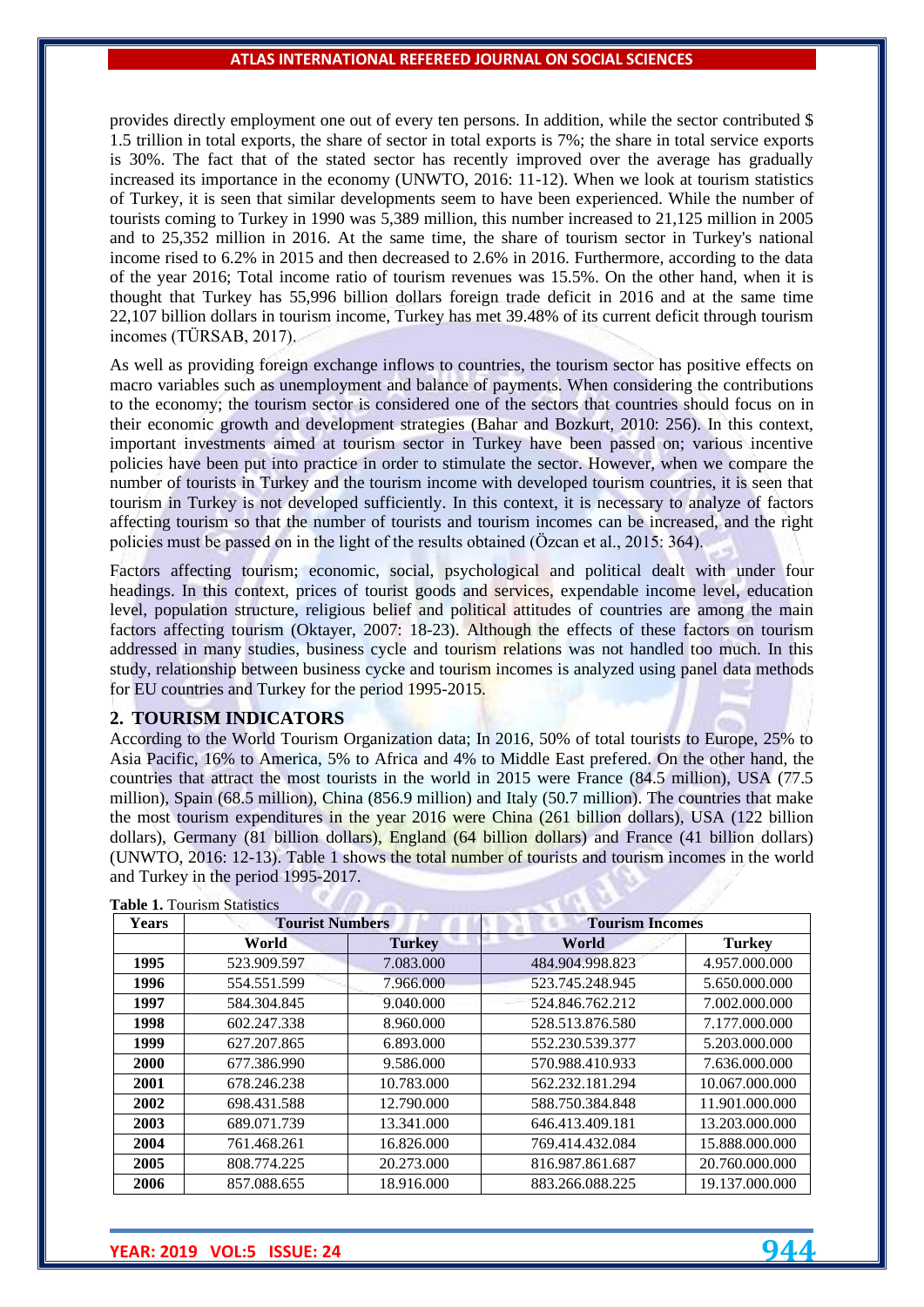provides directly employment one out of every ten persons. In addition, while the sector contributed \$ 1.5 trillion in total exports, the share of sector in total exports is 7%; the share in total service exports is 30%. The fact that of the stated sector has recently improved over the average has gradually increased its importance in the economy (UNWTO, 2016: 11-12). When we look at tourism statistics of Turkey, it is seen that similar developments seem to have been experienced. While the number of tourists coming to Turkey in 1990 was 5,389 million, this number increased to 21,125 million in 2005 and to 25,352 million in 2016. At the same time, the share of tourism sector in Turkey's national income rised to 6.2% in 2015 and then decreased to 2.6% in 2016. Furthermore, according to the data of the year 2016; Total income ratio of tourism revenues was 15.5%. On the other hand, when it is thought that Turkey has 55,996 billion dollars foreign trade deficit in 2016 and at the same time 22,107 billion dollars in tourism income, Turkey has met 39.48% of its current deficit through tourism incomes (TÜRSAB, 2017).

As well as providing foreign exchange inflows to countries, the tourism sector has positive effects on macro variables such as unemployment and balance of payments. When considering the contributions to the economy; the tourism sector is considered one of the sectors that countries should focus on in their economic growth and development strategies (Bahar and Bozkurt, 2010: 256). In this context, important investments aimed at tourism sector in Turkey have been passed on; various incentive policies have been put into practice in order to stimulate the sector. However, when we compare the number of tourists in Turkey and the tourism income with developed tourism countries, it is seen that tourism in Turkey is not developed sufficiently. In this context, it is necessary to analyze of factors affecting tourism so that the number of tourists and tourism incomes can be increased, and the right policies must be passed on in the light of the results obtained (Özcan et al., 2015: 364).

Factors affecting tourism; economic, social, psychological and political dealt with under four headings. In this context, prices of tourist goods and services, expendable income level, education level, population structure, religious belief and political attitudes of countries are among the main factors affecting tourism (Oktayer, 2007: 18-23). Although the effects of these factors on tourism addressed in many studies, business cycle and tourism relations was not handled too much. In this study, relationship between business cycke and tourism incomes is analyzed using panel data methods for EU countries and Turkey for the period 1995-2015.

## **2. TOURISM INDICATORS**

According to the World Tourism Organization data; In 2016, 50% of total tourists to Europe, 25% to Asia Pacific, 16% to America, 5% to Africa and 4% to Middle East prefered. On the other hand, the countries that attract the most tourists in the world in 2015 were France (84.5 million), USA (77.5 million), Spain (68.5 million), China (856.9 million) and Italy (50.7 million). The countries that make the most tourism expenditures in the year 2016 were China (261 billion dollars), USA (122 billion dollars), Germany (81 billion dollars), England (64 billion dollars) and France (41 billion dollars) (UNWTO, 2016: 12-13). Table 1 shows the total number of tourists and tourism incomes in the world and Turkey in the period 1995-2017.

| <b>Tourist Numbers</b><br><b>Years</b> |             |               | <b>Tourism Incomes</b> |                |  |
|----------------------------------------|-------------|---------------|------------------------|----------------|--|
|                                        | World       | <b>Turkey</b> | World                  | <b>Turkey</b>  |  |
| 1995                                   | 523.909.597 | 7.083.000     | 484.904.998.823        | 4.957.000.000  |  |
| 1996                                   | 554.551.599 | 7.966.000     | 523.745.248.945        | 5.650.000.000  |  |
| 1997                                   | 584.304.845 | 9.040.000     | 524.846.762.212        | 7.002.000.000  |  |
| 1998                                   | 602.247.338 | 8.960.000     | 528.513.876.580        | 7.177.000.000  |  |
| 1999                                   | 627.207.865 | 6.893.000     | 552.230.539.377        | 5.203.000.000  |  |
| 2000                                   | 677.386.990 | 9.586.000     | 570.988.410.933        | 7.636.000.000  |  |
| 2001                                   | 678.246.238 | 10.783.000    | 562.232.181.294        | 10.067.000.000 |  |
| 2002                                   | 698.431.588 | 12.790.000    | 588.750.384.848        | 11.901.000.000 |  |
| 2003                                   | 689.071.739 | 13.341.000    | 646.413.409.181        | 13.203.000.000 |  |
| 2004                                   | 761.468.261 | 16.826.000    | 769.414.432.084        | 15.888.000.000 |  |
| 2005                                   | 808.774.225 | 20.273,000    | 816.987.861.687        | 20.760.000.000 |  |
| 2006                                   | 857.088.655 | 18.916.000    | 883.266.088.225        | 19.137.000.000 |  |

**Table 1.** Tourism Statistics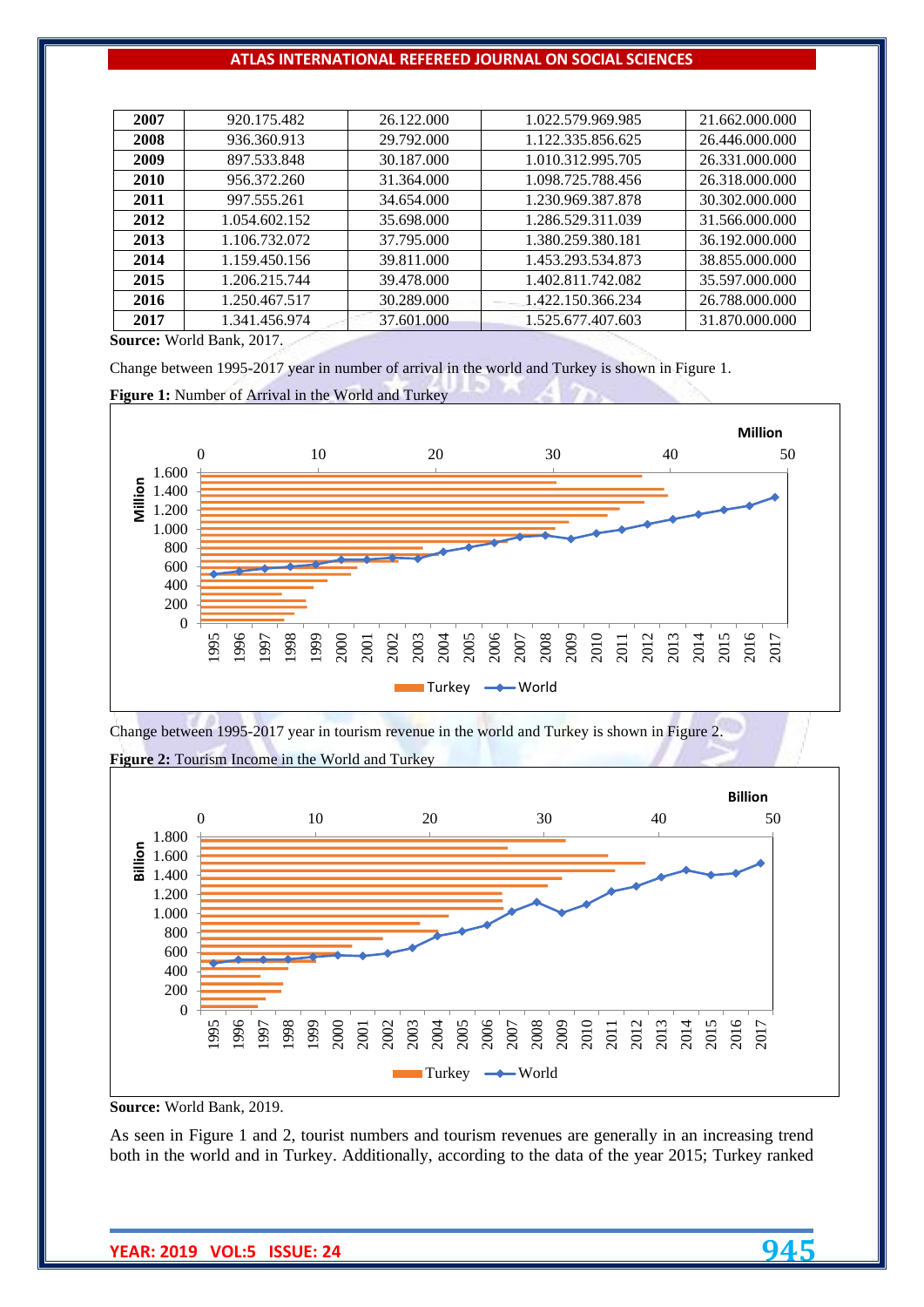| 2007        | 920.175.482   | 26.122.000 | 1.022.579.969.985 | 21.662.000.000 |
|-------------|---------------|------------|-------------------|----------------|
| 2008        | 936.360.913   | 29.792.000 | 1.122.335.856.625 | 26.446.000.000 |
| 2009        | 897.533.848   | 30.187.000 | 1.010.312.995.705 | 26.331.000.000 |
| <b>2010</b> | 956.372.260   | 31.364.000 | 1.098.725.788.456 | 26.318.000.000 |
| 2011        | 997.555.261   | 34.654.000 | 1.230.969.387.878 | 30.302.000.000 |
| 2012        | 1.054.602.152 | 35.698.000 | 1.286.529.311.039 | 31.566.000.000 |
| 2013        | 1.106.732.072 | 37.795.000 | 1.380.259.380.181 | 36.192.000.000 |
| 2014        | 1.159.450.156 | 39.811.000 | 1.453.293.534.873 | 38.855.000.000 |
| 2015        | 1.206.215.744 | 39.478.000 | 1.402.811.742.082 | 35.597.000.000 |
| 2016        | 1.250.467.517 | 30.289.000 | 1.422.150.366.234 | 26.788.000.000 |
| 2017        | 1.341.456.974 | 37.601.000 | 1.525.677.407.603 | 31.870.000.000 |
|             |               |            |                   |                |

**Source:** World Bank, 2017.

Change between 1995-2017 year in number of arrival in the world and Turkey is shown in Figure 1.

**Figure 1:** Number of Arrival in the World and Turkey



Change between 1995-2017 year in tourism revenue in the world and Turkey is shown in Figure 2.



**Figure 2:** Tourism Income in the World and Turkey

**Source:** World Bank, 2019.

As seen in Figure 1 and 2, tourist numbers and tourism revenues are generally in an increasing trend both in the world and in Turkey. Additionally, according to the data of the year 2015; Turkey ranked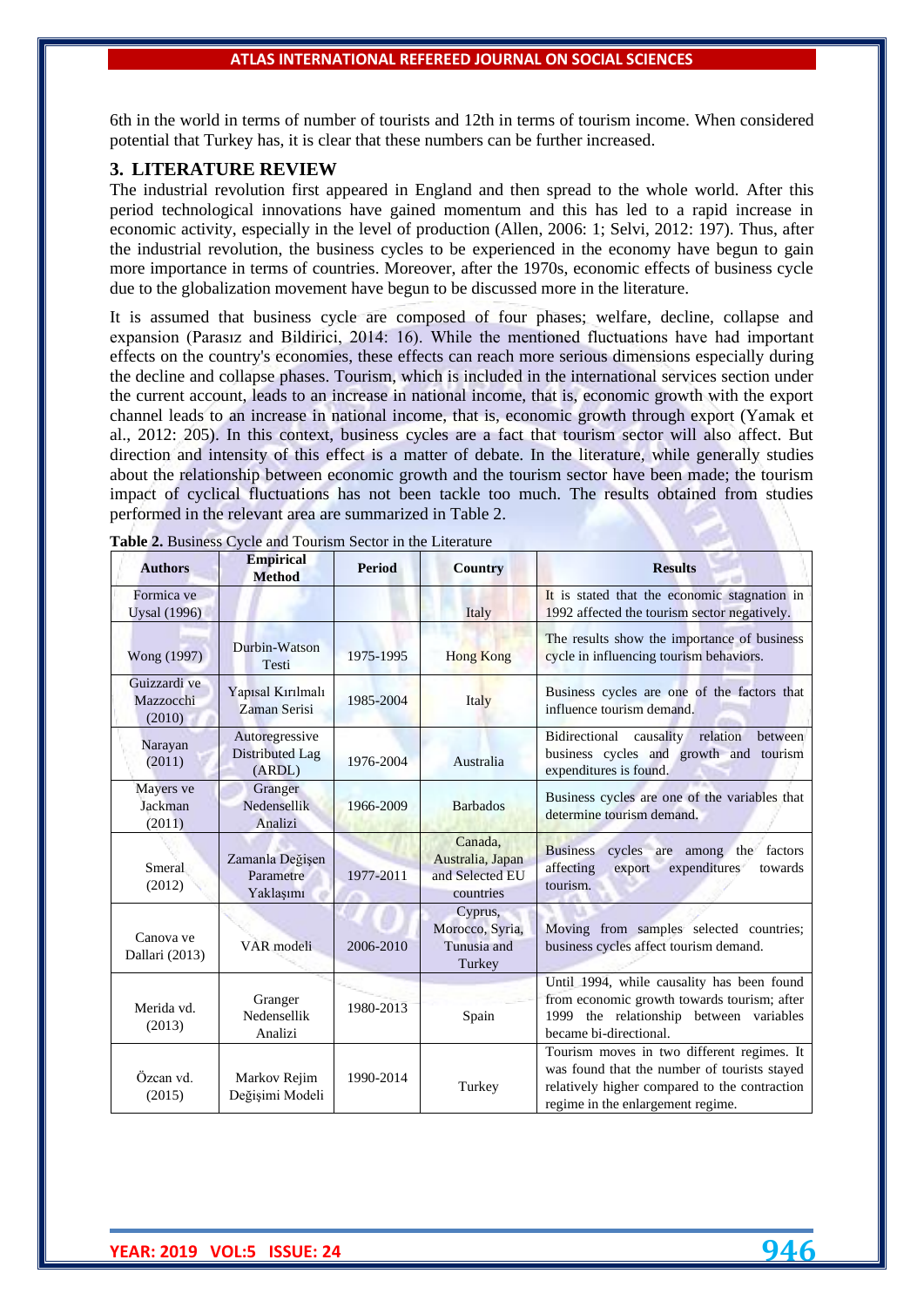6th in the world in terms of number of tourists and 12th in terms of tourism income. When considered potential that Turkey has, it is clear that these numbers can be further increased.

#### **3. LITERATURE REVIEW**

The industrial revolution first appeared in England and then spread to the whole world. After this period technological innovations have gained momentum and this has led to a rapid increase in economic activity, especially in the level of production (Allen, 2006: 1; Selvi, 2012: 197). Thus, after the industrial revolution, the business cycles to be experienced in the economy have begun to gain more importance in terms of countries. Moreover, after the 1970s, economic effects of business cycle due to the globalization movement have begun to be discussed more in the literature.

It is assumed that business cycle are composed of four phases; welfare, decline, collapse and expansion (Parasız and Bildirici, 2014: 16). While the mentioned fluctuations have had important effects on the country's economies, these effects can reach more serious dimensions especially during the decline and collapse phases. Tourism, which is included in the international services section under the current account, leads to an increase in national income, that is, economic growth with the export channel leads to an increase in national income, that is, economic growth through export (Yamak et al., 2012: 205). In this context, business cycles are a fact that tourism sector will also affect. But direction and intensity of this effect is a matter of debate. In the literature, while generally studies about the relationship between economic growth and the tourism sector have been made; the tourism impact of cyclical fluctuations has not been tackle too much. The results obtained from studies performed in the relevant area are summarized in Table 2.

| <b>Authors</b>                      | <b>Empirical</b><br><b>Method</b>                  | Period    | <b>Country</b>                                              | <b>Results</b>                                                                                                                                                                   |
|-------------------------------------|----------------------------------------------------|-----------|-------------------------------------------------------------|----------------------------------------------------------------------------------------------------------------------------------------------------------------------------------|
| Formica ve<br><b>Uysal</b> (1996)   |                                                    |           | Italy                                                       | It is stated that the economic stagnation in<br>1992 affected the tourism sector negatively.                                                                                     |
| Wong (1997)                         | Durbin-Watson<br>Testi                             | 1975-1995 | <b>Hong Kong</b>                                            | The results show the importance of business<br>cycle in influencing tourism behaviors.                                                                                           |
| Guizzardi ve<br>Mazzocchi<br>(2010) | Yapısal Kırılmalı<br>Zaman Serisi                  | 1985-2004 | Italy                                                       | Business cycles are one of the factors that<br>influence tourism demand.                                                                                                         |
| Narayan<br>(2011)                   | Autoregressive<br><b>Distributed Lag</b><br>(ARDL) | 1976-2004 | Australia                                                   | Bidirectional<br>causality<br>relation<br>between<br>business cycles and growth and tourism<br>expenditures is found.                                                            |
| Mayers ve<br>Jackman<br>(2011)      | Granger<br>Nedensellik<br>Analizi                  | 1966-2009 | <b>Barbados</b>                                             | Business cycles are one of the variables that<br>determine tourism demand.                                                                                                       |
| Smeral<br>(2012)                    | Zamanla Değişen<br>Parametre<br>Yaklaşımı          | 1977-2011 | Canada.<br>Australia, Japan<br>and Selected EU<br>countries | <b>Business</b><br>cycles are among the<br>factors<br>expenditures<br>affecting<br>export<br>towards<br>tourism.                                                                 |
| Canova ve<br>Dallari (2013)         | VAR modeli                                         | 2006-2010 | Cyprus,<br>Morocco, Syria,<br>Tunusia and<br>Turkey         | Moving from samples selected countries;<br>business cycles affect tourism demand.                                                                                                |
| Merida vd.<br>(2013)                | Granger<br>Nedensellik<br>Analizi                  | 1980-2013 | Spain                                                       | Until 1994, while causality has been found<br>from economic growth towards tourism; after<br>1999 the relationship between variables<br>became bi-directional.                   |
| Özcan vd.<br>(2015)                 | Markov Rejim<br>Değişimi Modeli                    | 1990-2014 | Turkey                                                      | Tourism moves in two different regimes. It<br>was found that the number of tourists stayed<br>relatively higher compared to the contraction<br>regime in the enlargement regime. |

**Table 2.** Business Cycle and Tourism Sector in the Literature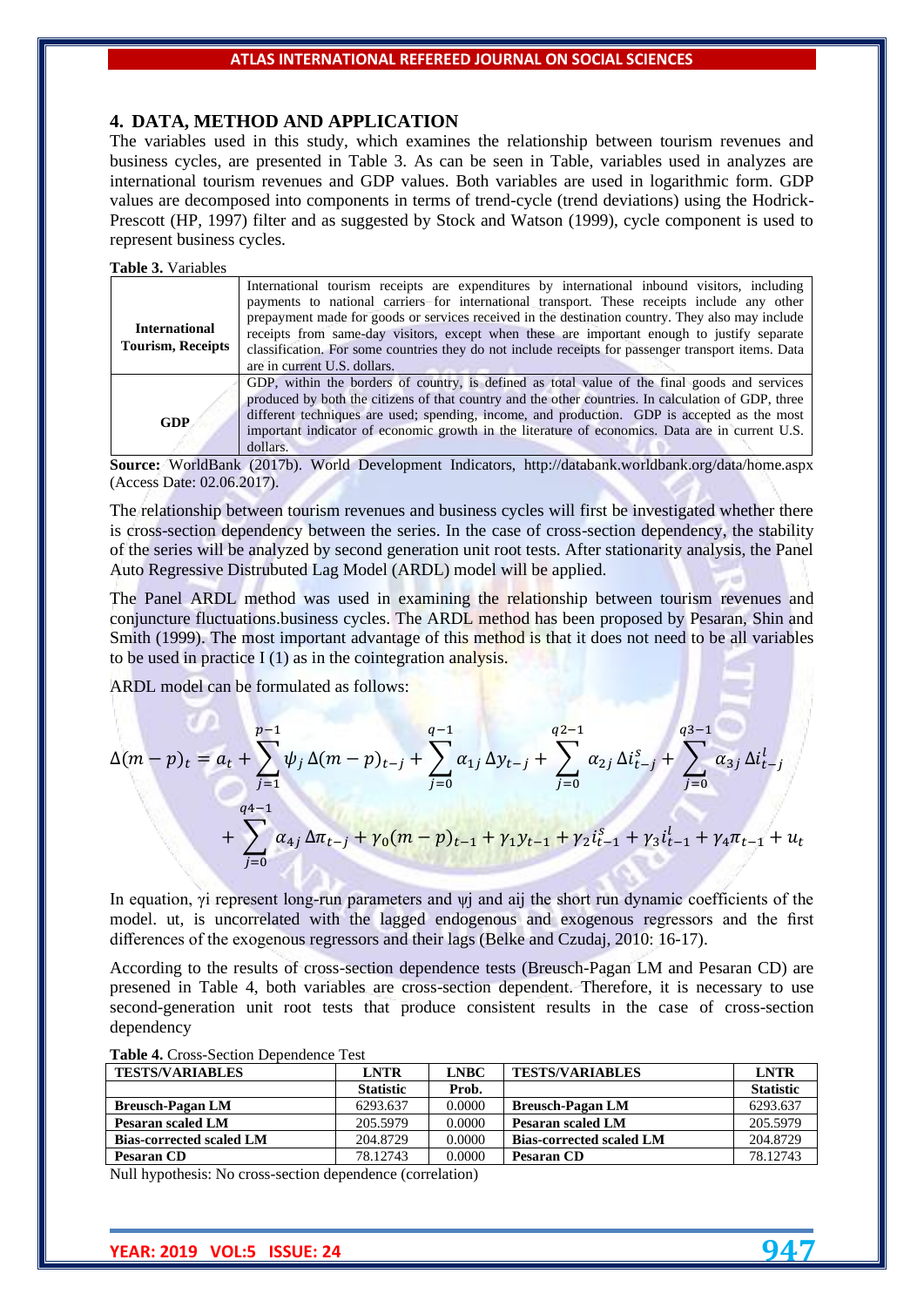## **4. DATA, METHOD AND APPLICATION**

The variables used in this study, which examines the relationship between tourism revenues and business cycles, are presented in Table 3. As can be seen in Table, variables used in analyzes are international tourism revenues and GDP values. Both variables are used in logarithmic form. GDP values are decomposed into components in terms of trend-cycle (trend deviations) using the Hodrick-Prescott (HP, 1997) filter and as suggested by Stock and Watson (1999), cycle component is used to represent business cycles.

**Table 3.** Variables

|                          | International tourism receipts are expenditures by international inbound visitors, including        |
|--------------------------|-----------------------------------------------------------------------------------------------------|
|                          | payments to national carriers for international transport. These receipts include any other         |
|                          | prepayment made for goods or services received in the destination country. They also may include    |
| <b>International</b>     | receipts from same-day visitors, except when these are important enough to justify separate         |
| <b>Tourism, Receipts</b> | classification. For some countries they do not include receipts for passenger transport items. Data |
|                          | are in current U.S. dollars.                                                                        |
|                          | GDP, within the borders of country, is defined as total value of the final goods and services       |
|                          | produced by both the citizens of that country and the other countries. In calculation of GDP, three |
| <b>GDP</b>               | different techniques are used; spending, income, and production. GDP is accepted as the most        |
|                          | important indicator of economic growth in the literature of economics. Data are in current U.S.     |
|                          | dollars.                                                                                            |

**Source:** WorldBank (2017b). World Development Indicators, http://databank.worldbank.org/data/home.aspx (Access Date: 02.06.2017).

The relationship between tourism revenues and business cycles will first be investigated whether there is cross-section dependency between the series. In the case of cross-section dependency, the stability of the series will be analyzed by second generation unit root tests. After stationarity analysis, the Panel Auto Regressive Distrubuted Lag Model (ARDL) model will be applied.

The Panel ARDL method was used in examining the relationship between tourism revenues and conjuncture fluctuations.business cycles. The ARDL method has been proposed by Pesaran, Shin and Smith (1999). The most important advantage of this method is that it does not need to be all variables to be used in practice  $I(1)$  as in the cointegration analysis.

ARDL model can be formulated as follows:

$$
\Delta(m-p)_t = a_t + \sum_{j=1}^{p-1} \psi_j \Delta(m-p)_{t-j} + \sum_{j=0}^{q-1} \alpha_{1j} \Delta y_{t-j} + \sum_{j=0}^{q2-1} \alpha_{2j} \Delta i_{t-j}^s + \sum_{j=0}^{q3-1} \alpha_{3j} \Delta i_{t-j}^l
$$
  
+ 
$$
\sum_{j=0}^{q4-1} \alpha_{4j} \Delta \pi_{t-j} + \gamma_0 (m-p)_{t-1} + \gamma_1 y_{t-1} + \gamma_2 i_{t-1}^s + \gamma_3 i_{t-1}^l + \gamma_4 \pi_{t-1} + u_t
$$

In equation, γi represent long-run parameters and ψj and aij the short run dynamic coefficients of the model. ut, is uncorrelated with the lagged endogenous and exogenous regressors and the first differences of the exogenous regressors and their lags (Belke and Czudaj, 2010: 16-17).

According to the results of cross-section dependence tests (Breusch-Pagan LM and Pesaran CD) are presened in Table 4, both variables are cross-section dependent. Therefore, it is necessary to use second-generation unit root tests that produce consistent results in the case of cross-section dependency

| <b>TESTS/VARIABLES</b>          | LNTR             | <b>LNBC</b> | <b>TESTS/VARIABLES</b>          | <b>LNTR</b>      |
|---------------------------------|------------------|-------------|---------------------------------|------------------|
|                                 | <b>Statistic</b> | Prob.       |                                 | <b>Statistic</b> |
| <b>Breusch-Pagan LM</b>         | 6293.637         | 0.0000      | <b>Breusch-Pagan LM</b>         | 6293.637         |
| Pesaran scaled LM               | 205.5979         | 0.0000      | Pesaran scaled LM               | 205.5979         |
| <b>Bias-corrected scaled LM</b> | 204.8729         | 0.0000      | <b>Bias-corrected scaled LM</b> | 204.8729         |
| Pesaran CD                      | 78.12743         | 0.0000      | <b>Pesaran CD</b>               | 78.12743         |

**Table 4.** Cross-Section Dependence Test

Null hypothesis: No cross-section dependence (correlation)

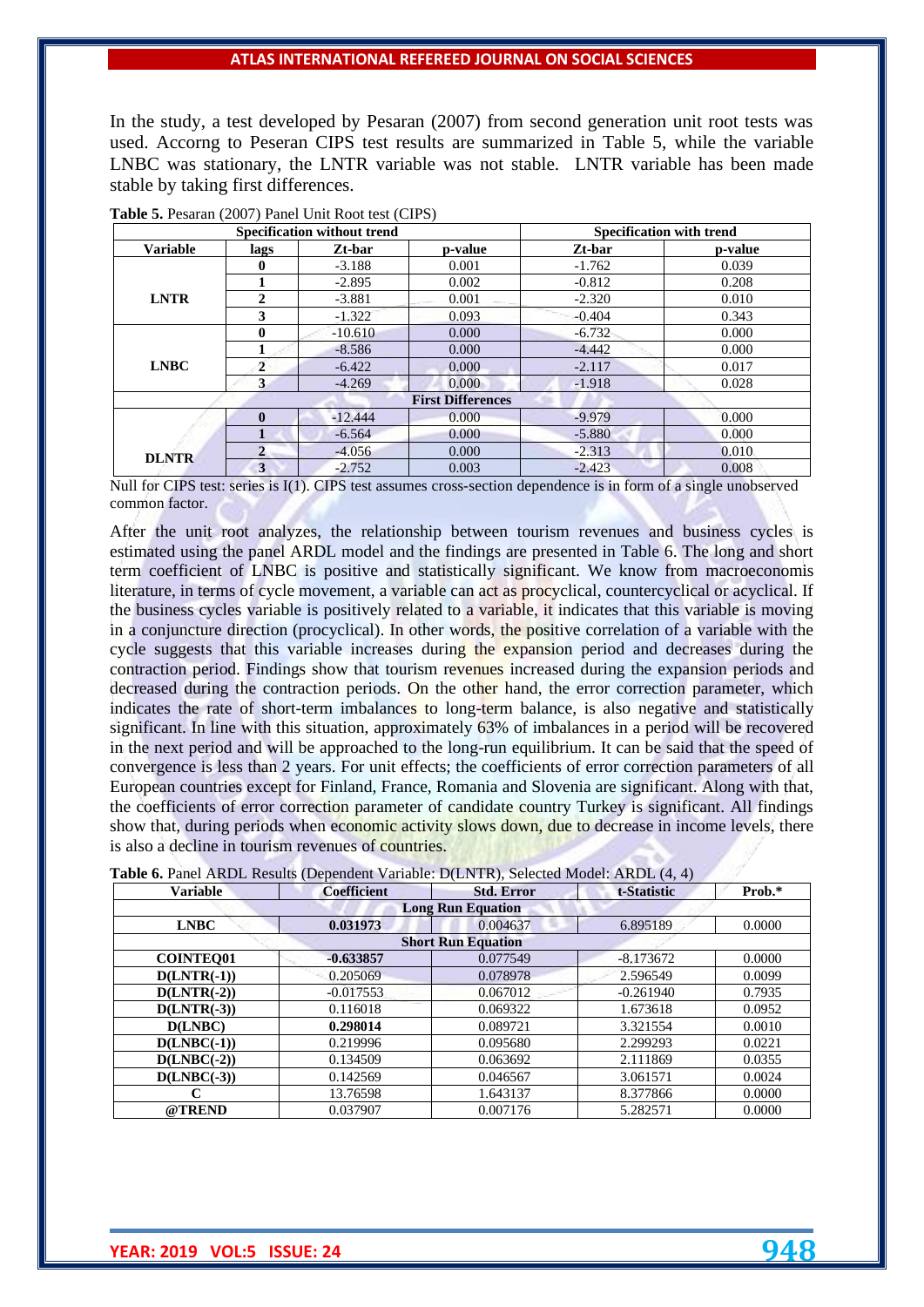In the study, a test developed by Pesaran (2007) from second generation unit root tests was used. Accorng to Peseran CIPS test results are summarized in Table 5, while the variable LNBC was stationary, the LNTR variable was not stable. LNTR variable has been made stable by taking first differences.

|                 |                | Specification without trend |                          |          | <b>Specification with trend</b> |
|-----------------|----------------|-----------------------------|--------------------------|----------|---------------------------------|
| <b>Variable</b> | lags           | Zt-bar                      | p-value                  | Zt-bar   | p-value                         |
|                 | 0              | $-3.188$                    | 0.001                    | $-1.762$ | 0.039                           |
|                 |                | $-2.895$                    | 0.002                    | $-0.812$ | 0.208                           |
| <b>LNTR</b>     | $\mathbf{2}$   | $-3.881$                    | 0.001                    | $-2.320$ | 0.010                           |
|                 | 3              | $-1.322$                    | 0.093                    | $-0.404$ | 0.343                           |
|                 | 0              | $-10.610$                   | 0.000                    | $-6.732$ | 0.000                           |
|                 |                | $-8.586$                    | 0.000                    | $-4.442$ | 0.000                           |
| <b>LNBC</b>     | $\overline{2}$ | $-6.422$                    | 0.000                    | $-2.117$ | 0.017                           |
|                 | 3              | $-4.269$                    | 0.000                    | $-1.918$ | 0.028                           |
|                 |                |                             | <b>First Differences</b> |          |                                 |
|                 | $\mathbf{0}$   | $-12.444$                   | 0.000                    | $-9.979$ | 0.000                           |
|                 |                | $-6.564$                    | 0.000                    | $-5.880$ | 0.000                           |
| <b>DLNTR</b>    | $\overline{2}$ | $-4.056$                    | 0.000                    | $-2.313$ | 0.010                           |
|                 | 3              | $-2.752$                    | 0.003                    | $-2.423$ | 0.008                           |

**Table 5.** Pesaran (2007) Panel Unit Root test (CIPS)

Null for CIPS test: series is I(1). CIPS test assumes cross-section dependence is in form of a single unobserved common factor.

After the unit root analyzes, the relationship between tourism revenues and business cycles is estimated using the panel ARDL model and the findings are presented in Table 6. The long and short term coefficient of LNBC is positive and statistically significant. We know from macroeconomis literature, in terms of cycle movement, a variable can act as procyclical, countercyclical or acyclical. If the business cycles variable is positively related to a variable, it indicates that this variable is moving in a conjuncture direction (procyclical). In other words, the positive correlation of a variable with the cycle suggests that this variable increases during the expansion period and decreases during the contraction period. Findings show that tourism revenues increased during the expansion periods and decreased during the contraction periods. On the other hand, the error correction parameter, which indicates the rate of short-term imbalances to long-term balance, is also negative and statistically significant. In line with this situation, approximately 63% of imbalances in a period will be recovered in the next period and will be approached to the long-run equilibrium. It can be said that the speed of convergence is less than 2 years. For unit effects; the coefficients of error correction parameters of all European countries except for Finland, France, Romania and Slovenia are significant. Along with that, the coefficients of error correction parameter of candidate country Turkey is significant. All findings show that, during periods when economic activity slows down, due to decrease in income levels, there is also a decline in tourism revenues of countries.

| Table 6. Panel ARDL Results (Dependent Variable: D(LNTR), Selected Model: ARDL (4, 4) |  |  |  |  |
|---------------------------------------------------------------------------------------|--|--|--|--|
|---------------------------------------------------------------------------------------|--|--|--|--|

| <b>Variable</b>  | <b>Coefficient</b> | <b>Std. Error</b>         | t-Statistic | Prob.* |
|------------------|--------------------|---------------------------|-------------|--------|
|                  |                    | <b>Long Run Equation</b>  |             |        |
| <b>LNBC</b>      | 0.031973           | 0.004637                  | 6.895189    | 0.0000 |
|                  |                    | <b>Short Run Equation</b> |             |        |
| <b>COINTEO01</b> | $-0.633857$        | 0.077549                  | $-8.173672$ | 0.0000 |
| $D(LNTR(-1))$    | 0.205069           | 0.078978                  | 2.596549    | 0.0099 |
| $D(LNTR(-2))$    | $-0.017553$        | 0.067012                  | $-0.261940$ | 0.7935 |
| $D(LNTR(-3))$    | 0.116018           | 0.069322                  | 1.673618    | 0.0952 |
| D(LNBC)          | 0.298014           | 0.089721                  | 3.321554    | 0.0010 |
| $D(LNBC(-1))$    | 0.219996           | 0.095680                  | 2.299293    | 0.0221 |
| $D(LNBC(-2))$    | 0.134509           | 0.063692                  | 2.111869    | 0.0355 |
| $D(LNBC(-3))$    | 0.142569           | 0.046567                  | 3.061571    | 0.0024 |
|                  | 13.76598           | 1.643137                  | 8.377866    | 0.0000 |
| @TREND           | 0.037907           | 0.007176                  | 5.282571    | 0.0000 |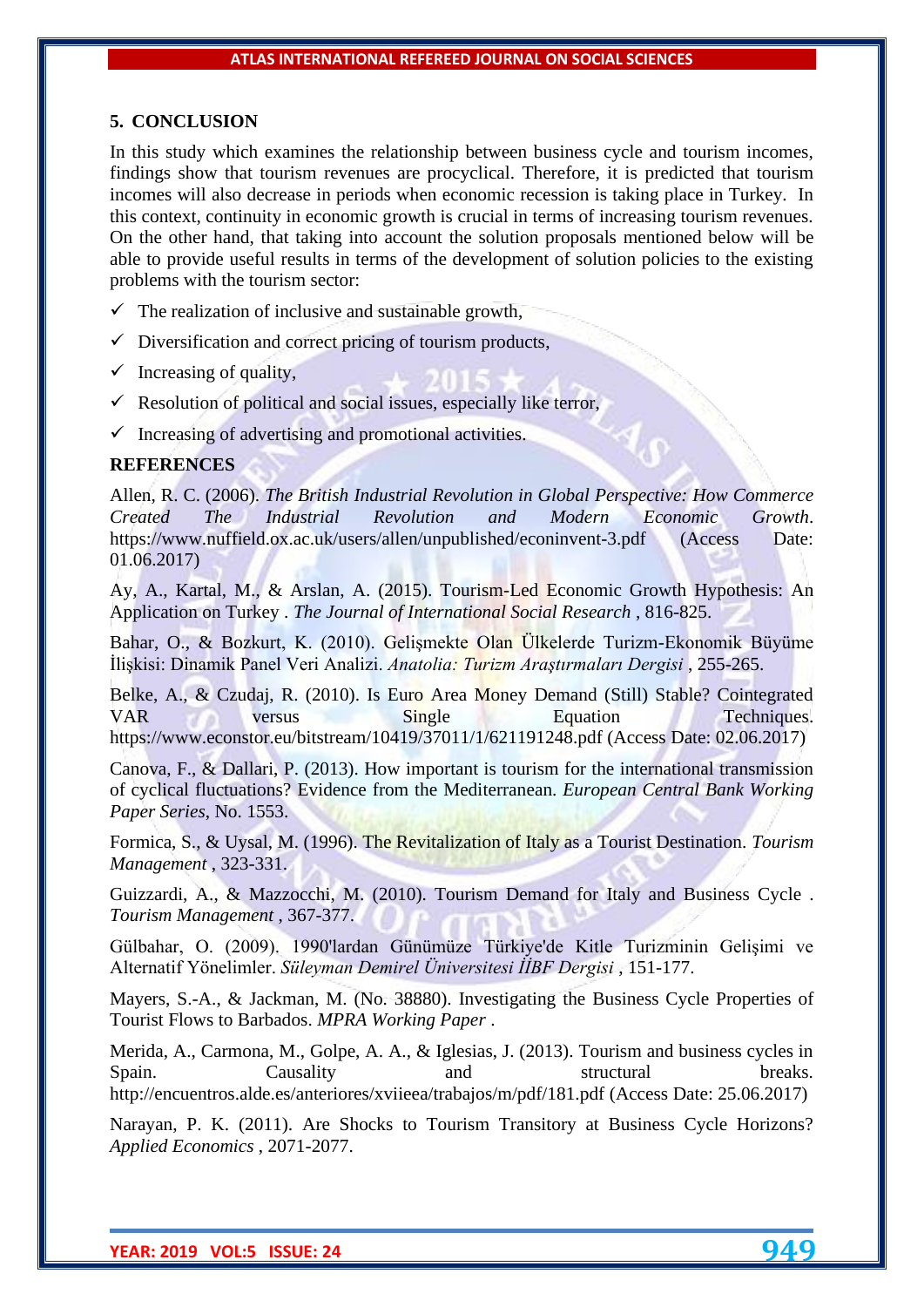## **5. CONCLUSION**

In this study which examines the relationship between business cycle and tourism incomes, findings show that tourism revenues are procyclical. Therefore, it is predicted that tourism incomes will also decrease in periods when economic recession is taking place in Turkey. In this context, continuity in economic growth is crucial in terms of increasing tourism revenues. On the other hand, that taking into account the solution proposals mentioned below will be able to provide useful results in terms of the development of solution policies to the existing problems with the tourism sector:

- $\checkmark$  The realization of inclusive and sustainable growth,
- $\checkmark$  Diversification and correct pricing of tourism products,
- $\checkmark$  Increasing of quality,
- $\checkmark$  Resolution of political and social issues, especially like terror,
- $\checkmark$  Increasing of advertising and promotional activities.

## **REFERENCES**

Allen, R. C. (2006). *The British Industrial Revolution in Global Perspective: How Commerce Created The Industrial Revolution and Modern Economic Growth*. <https://www.nuffield.ox.ac.uk/users/allen/unpublished/econinvent-3.pdf> (Access Date: 01.06.2017)

Ay, A., Kartal, M., & Arslan, A. (2015). Tourism-Led Economic Growth Hypothesis: An Application on Turkey . *The Journal of International Social Research* , 816-825.

Bahar, O., & Bozkurt, K. (2010). Gelişmekte Olan Ülkelerde Turizm-Ekonomik Büyüme İlişkisi: Dinamik Panel Veri Analizi. *Anatolia: Turizm Araştırmaları Dergisi* , 255-265.

Belke, A., & Czudaj, R. (2010). Is Euro Area Money Demand (Still) Stable? Cointegrated VAR versus Single Equation Techniques. https://www.econstor.eu/bitstream/10419/37011/1/621191248.pdf (Access Date: 02.06.2017)

Canova, F., & Dallari, P. (2013). How important is tourism for the international transmission of cyclical fluctuations? Evidence from the Mediterranean. *European Central Bank Working Paper Series*, No. 1553.

Formica, S., & Uysal, M. (1996). The Revitalization of Italy as a Tourist Destination. *Tourism Management* , 323-331.

Guizzardi, A., & Mazzocchi, M. (2010). Tourism Demand for Italy and Business Cycle . *Tourism Management* , 367-377.

Gülbahar, O. (2009). 1990'lardan Günümüze Türkiye'de Kitle Turizminin Gelişimi ve Alternatif Yönelimler. *Süleyman Demirel Üniversitesi İİBF Dergisi* , 151-177.

Mayers, S.-A., & Jackman, M. (No. 38880). Investigating the Business Cycle Properties of Tourist Flows to Barbados. *MPRA Working Paper* .

Merida, A., Carmona, M., Golpe, A. A., & Iglesias, J. (2013). Tourism and business cycles in Spain. Causality and structural breaks. <http://encuentros.alde.es/anteriores/xviieea/trabajos/m/pdf/181.pdf> (Access Date: 25.06.2017)

Narayan, P. K. (2011). Are Shocks to Tourism Transitory at Business Cycle Horizons? *Applied Economics* , 2071-2077.